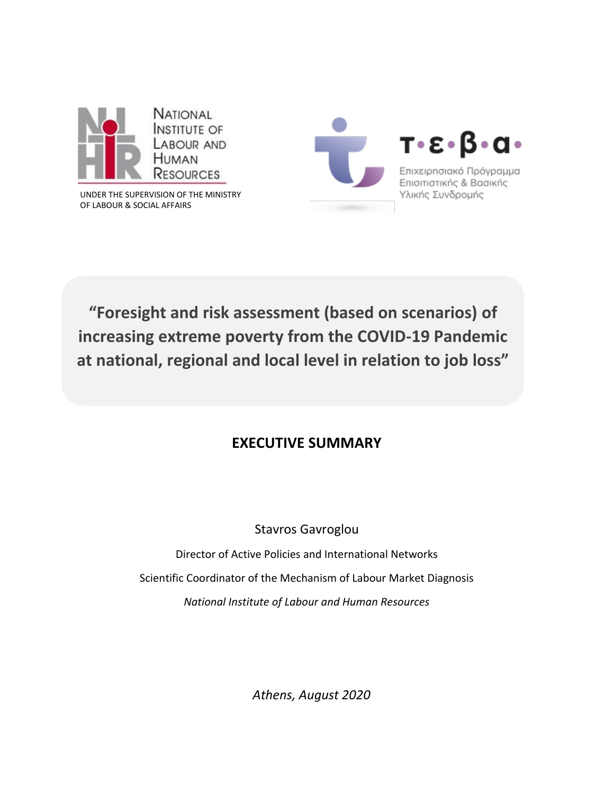

UNDER THE SUPERVISION OF THE MINISTRY OF LABOUR & SOCIAL AFFAIRS



**"Foresight and risk assessment (based on scenarios) of increasing extreme poverty from the COVID-19 Pandemic at national, regional and local level in relation to job loss"**

## **EXECUTIVE SUMMARY**

Stavros Gavroglou

Director of Active Policies and International Networks Scientific Coordinator of the Mechanism of Labour Market Diagnosis *National Institute of Labour and Human Resources*

*Athens, August 2020*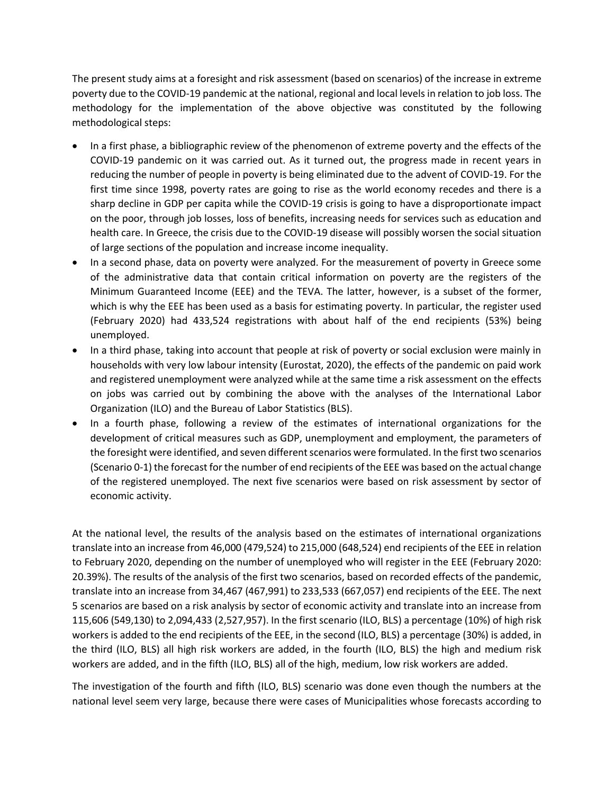The present study aims at a foresight and risk assessment (based on scenarios) of the increase in extreme poverty due to the COVID-19 pandemic at the national, regional and local levels in relation to job loss. The methodology for the implementation of the above objective was constituted by the following methodological steps:

- In a first phase, a bibliographic review of the phenomenon of extreme poverty and the effects of the COVID-19 pandemic on it was carried out. As it turned out, the progress made in recent years in reducing the number of people in poverty is being eliminated due to the advent of COVID-19. For the first time since 1998, poverty rates are going to rise as the world economy recedes and there is a sharp decline in GDP per capita while the COVID-19 crisis is going to have a disproportionate impact on the poor, through job losses, loss of benefits, increasing needs for services such as education and health care. In Greece, the crisis due to the COVID-19 disease will possibly worsen the social situation of large sections of the population and increase income inequality.
- In a second phase, data on poverty were analyzed. For the measurement of poverty in Greece some of the administrative data that contain critical information on poverty are the registers of the Minimum Guaranteed Income (EEE) and the TEVA. The latter, however, is a subset of the former, which is why the EEE has been used as a basis for estimating poverty. In particular, the register used (February 2020) had 433,524 registrations with about half of the end recipients (53%) being unemployed.
- In a third phase, taking into account that people at risk of poverty or social exclusion were mainly in households with very low labour intensity (Eurostat, 2020), the effects of the pandemic on paid work and registered unemployment were analyzed while at the same time a risk assessment on the effects on jobs was carried out by combining the above with the analyses of the International Labor Organization (ILO) and the Bureau of Labor Statistics (BLS).
- In a fourth phase, following a review of the estimates of international organizations for the development of critical measures such as GDP, unemployment and employment, the parameters of the foresight were identified, and seven different scenarios were formulated. In the first two scenarios (Scenario 0-1) the forecast for the number of end recipients of the EEE was based on the actual change of the registered unemployed. The next five scenarios were based on risk assessment by sector of economic activity.

At the national level, the results of the analysis based on the estimates of international organizations translate into an increase from 46,000 (479,524) to 215,000 (648,524) end recipients of the EEE in relation to February 2020, depending on the number of unemployed who will register in the EEE (February 2020: 20.39%). The results of the analysis of the first two scenarios, based on recorded effects of the pandemic, translate into an increase from 34,467 (467,991) to 233,533 (667,057) end recipients of the EEE. The next 5 scenarios are based on a risk analysis by sector of economic activity and translate into an increase from 115,606 (549,130) to 2,094,433 (2,527,957). In the first scenario (ILO, BLS) a percentage (10%) of high risk workers is added to the end recipients of the EEE, in the second (ILO, BLS) a percentage (30%) is added, in the third (ILO, BLS) all high risk workers are added, in the fourth (ILO, BLS) the high and medium risk workers are added, and in the fifth (ILO, BLS) all of the high, medium, low risk workers are added.

The investigation of the fourth and fifth (ILO, BLS) scenario was done even though the numbers at the national level seem very large, because there were cases of Municipalities whose forecasts according to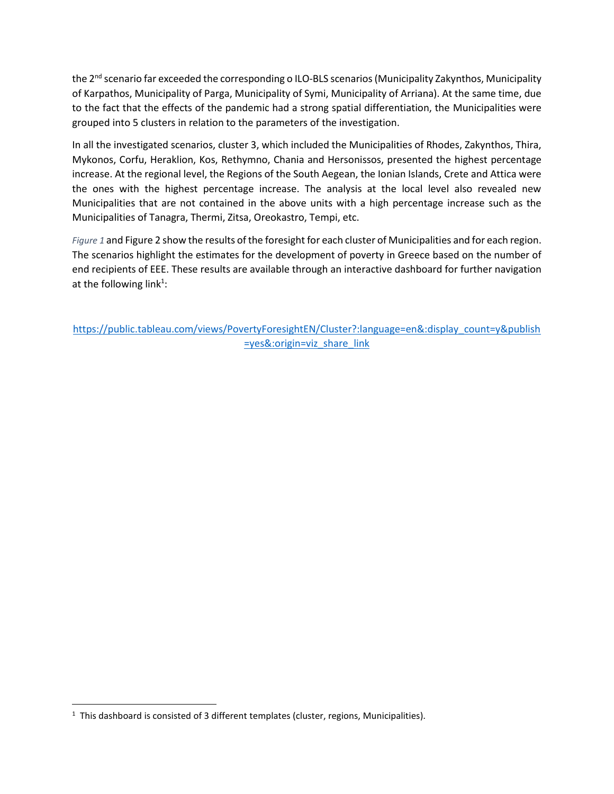the 2<sup>nd</sup> scenario far exceeded the corresponding o ILO-BLS scenarios (Municipality Zakynthos, Municipality of Karpathos, Municipality of Parga, Municipality of Symi, Municipality of Arriana). At the same time, due to the fact that the effects of the pandemic had a strong spatial differentiation, the Municipalities were grouped into 5 clusters in relation to the parameters of the investigation.

In all the investigated scenarios, cluster 3, which included the Municipalities of Rhodes, Zakynthos, Thira, Mykonos, Corfu, Heraklion, Kos, Rethymno, Chania and Hersonissos, presented the highest percentage increase. At the regional level, the Regions of the South Aegean, the Ionian Islands, Crete and Attica were the ones with the highest percentage increase. The analysis at the local level also revealed new Municipalities that are not contained in the above units with a high percentage increase such as the Municipalities of Tanagra, Thermi, Zitsa, Oreokastro, Tempi, etc.

*[Figure 1](#page-3-0)* and [Figure 2](#page-3-1) show the results of the foresight for each cluster of Municipalities and for each region. The scenarios highlight the estimates for the development of poverty in Greece based on the number of end recipients of EEE. These results are available through an interactive dashboard for further navigation at the following link<sup>1</sup>:

[https://public.tableau.com/views/PovertyForesightEN/Cluster?:language=en&:display\\_count=y&publish](https://public.tableau.com/views/PovertyForesightEN/Cluster?:language=en&:display_count=y&publish=yes&:origin=viz_share_link) [=yes&:origin=viz\\_share\\_link](https://public.tableau.com/views/PovertyForesightEN/Cluster?:language=en&:display_count=y&publish=yes&:origin=viz_share_link)

 $\overline{\phantom{a}}$ 

 $<sup>1</sup>$  This dashboard is consisted of 3 different templates (cluster, regions, Municipalities).</sup>